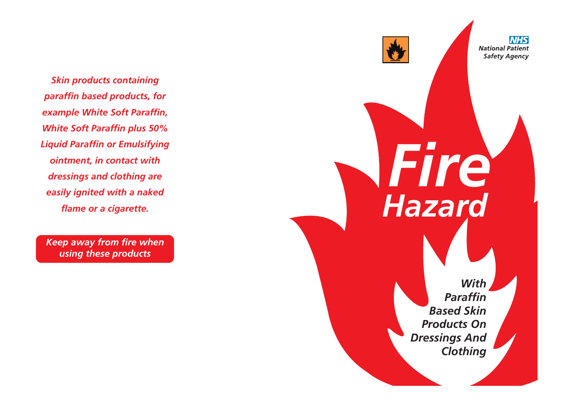*Skin products containing paraffin based products, for example White Soft Paraffin, White Soft Paraffin plus 50% Liquid Paraffin or Emulsifying ointment, in contact with dressings and clothing are easily ignited with a naked flame or a cigarette.*

*Keep away from fire when using these products*

**NHS National Patient Safety Agency** 

*With Paraffin Based Skin Products On Dressings And Clothing*

*Fire*

*Hazard*